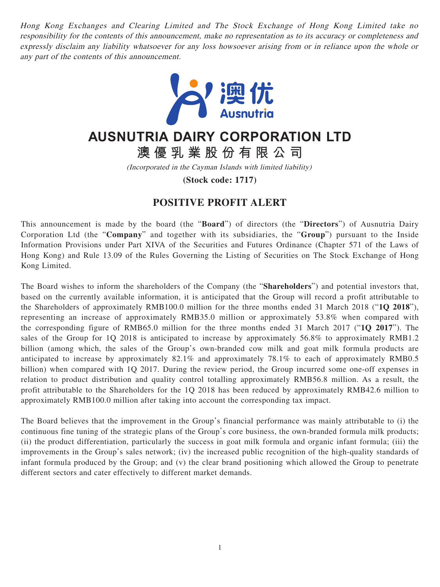Hong Kong Exchanges and Clearing Limited and The Stock Exchange of Hong Kong Limited take no responsibility for the contents of this announcement, make no representation as to its accuracy or completeness and expressly disclaim any liability whatsoever for any loss howsoever arising from or in reliance upon the whole or any part of the contents of this announcement.



## **AUSNUTRIA DAIRY CORPORATION LTD**

**澳優乳業股份有限公司**

(Incorporated in the Cayman Islands with limited liability)

**(Stock code: 1717)**

## **POSITIVE PROFIT ALERT**

This announcement is made by the board (the "**Board**") of directors (the "**Directors**") of Ausnutria Dairy Corporation Ltd (the "**Company**" and together with its subsidiaries, the "**Group**") pursuant to the Inside Information Provisions under Part XIVA of the Securities and Futures Ordinance (Chapter 571 of the Laws of Hong Kong) and Rule 13.09 of the Rules Governing the Listing of Securities on The Stock Exchange of Hong Kong Limited.

The Board wishes to inform the shareholders of the Company (the "**Shareholders**") and potential investors that, based on the currently available information, it is anticipated that the Group will record a profit attributable to the Shareholders of approximately RMB100.0 million for the three months ended 31 March 2018 ("**1Q 2018**"), representing an increase of approximately RMB35.0 million or approximately 53.8% when compared with the corresponding figure of RMB65.0 million for the three months ended 31 March 2017 ("**1Q 2017**"). The sales of the Group for 1Q 2018 is anticipated to increase by approximately 56.8% to approximately RMB1.2 billion (among which, the sales of the Group's own-branded cow milk and goat milk formula products are anticipated to increase by approximately 82.1% and approximately 78.1% to each of approximately RMB0.5 billion) when compared with 1Q 2017. During the review period, the Group incurred some one-off expenses in relation to product distribution and quality control totalling approximately RMB56.8 million. As a result, the profit attributable to the Shareholders for the 1Q 2018 has been reduced by approximately RMB42.6 million to approximately RMB100.0 million after taking into account the corresponding tax impact.

The Board believes that the improvement in the Group's financial performance was mainly attributable to (i) the continuous fine tuning of the strategic plans of the Group's core business, the own-branded formula milk products; (ii) the product differentiation, particularly the success in goat milk formula and organic infant formula; (iii) the improvements in the Group's sales network; (iv) the increased public recognition of the high-quality standards of infant formula produced by the Group; and (v) the clear brand positioning which allowed the Group to penetrate different sectors and cater effectively to different market demands.